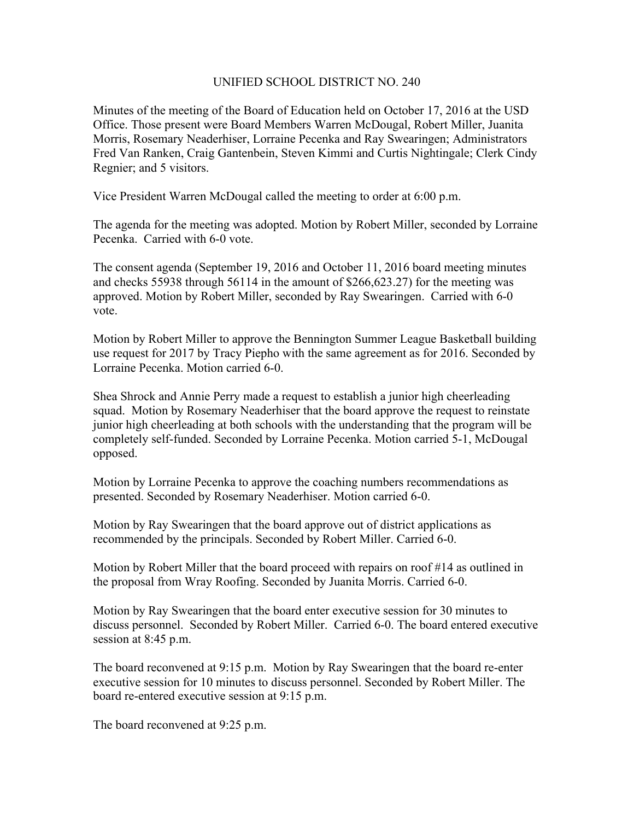## UNIFIED SCHOOL DISTRICT NO. 240

Minutes of the meeting of the Board of Education held on October 17, 2016 at the USD Office. Those present were Board Members Warren McDougal, Robert Miller, Juanita Morris, Rosemary Neaderhiser, Lorraine Pecenka and Ray Swearingen; Administrators Fred Van Ranken, Craig Gantenbein, Steven Kimmi and Curtis Nightingale; Clerk Cindy Regnier; and 5 visitors.

Vice President Warren McDougal called the meeting to order at 6:00 p.m.

The agenda for the meeting was adopted. Motion by Robert Miller, seconded by Lorraine Pecenka. Carried with 6-0 vote.

The consent agenda (September 19, 2016 and October 11, 2016 board meeting minutes and checks 55938 through 56114 in the amount of \$266,623.27) for the meeting was approved. Motion by Robert Miller, seconded by Ray Swearingen. Carried with 6-0 vote.

Motion by Robert Miller to approve the Bennington Summer League Basketball building use request for 2017 by Tracy Piepho with the same agreement as for 2016. Seconded by Lorraine Pecenka. Motion carried 6-0.

Shea Shrock and Annie Perry made a request to establish a junior high cheerleading squad. Motion by Rosemary Neaderhiser that the board approve the request to reinstate junior high cheerleading at both schools with the understanding that the program will be completely self-funded. Seconded by Lorraine Pecenka. Motion carried 5-1, McDougal opposed.

Motion by Lorraine Pecenka to approve the coaching numbers recommendations as presented. Seconded by Rosemary Neaderhiser. Motion carried 6-0.

Motion by Ray Swearingen that the board approve out of district applications as recommended by the principals. Seconded by Robert Miller. Carried 6-0.

Motion by Robert Miller that the board proceed with repairs on roof #14 as outlined in the proposal from Wray Roofing. Seconded by Juanita Morris. Carried 6-0.

Motion by Ray Swearingen that the board enter executive session for 30 minutes to discuss personnel. Seconded by Robert Miller. Carried 6-0. The board entered executive session at 8:45 p.m.

The board reconvened at 9:15 p.m. Motion by Ray Swearingen that the board re-enter executive session for 10 minutes to discuss personnel. Seconded by Robert Miller. The board re-entered executive session at 9:15 p.m.

The board reconvened at 9:25 p.m.